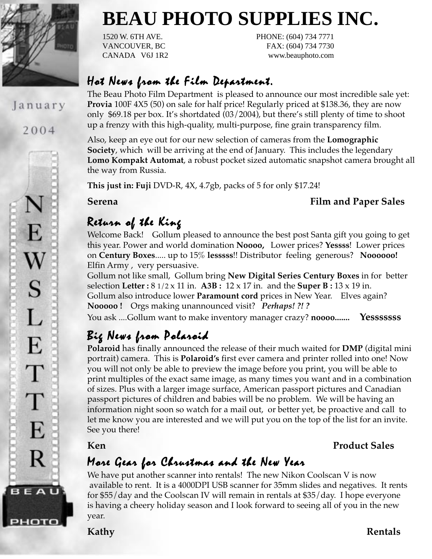

### January

2004



# **BEAU PHOTO SUPPLIES INC.**

1520 W. 6TH AVE. PHONE: (604) 734 7771 VANCOUVER, BC FAX: (604) 734 7730 CANADA V6J 1R2 www.beauphoto.com

### Hot News from the Film Department.

The Beau Photo Film Department is pleased to announce our most incredible sale yet: **Provia** 100F 4X5 (50) on sale for half price! Regularly priced at \$138.36, they are now only \$69.18 per box. It's shortdated (03/2004), but there's still plenty of time to shoot up a frenzy with this high-quality, multi-purpose, fine grain transparency film.

Also, keep an eye out for our new selection of cameras from the **Lomographic Society**, which will be arriving at the end of January. This includes the legendary **Lomo Kompakt Automat**, a robust pocket sized automatic snapshot camera brought all the way from Russia.

**This just in: Fuji** DVD-R, 4X, 4.7gb, packs of 5 for only \$17.24!

### **Serena** Film and Paper Sales

## Return of the King

Welcome Back! Gollum pleased to announce the best post Santa gift you going to get this year. Power and world domination **Noooo,** Lower prices? **Yessss**! Lower prices on **Century Boxes**..... up to 15% **lesssss**!! Distributor feeling generous? **Noooooo!** Elfin Army , very persuasive.

Gollum not like small, Gollum bring **New Digital Series Century Boxes** in for better selection **Letter :** 8 1/2 x 11 in. **A3B :** 12 x 17 in. and the **Super B :** 13 x 19 in. Gollum also introduce lower **Paramount cord** prices in New Year. Elves again? **Nooooo !** Orgs making unannounced visit? *Perhaps! ?! ?* You ask ....Gollum want to make inventory manager crazy? **noooo....... Yesssssss**

# Big News from Polaroid

**Polaroid** has finally announced the release of their much waited for **DMP** (digital mini portrait) camera. This is **Polaroid's** first ever camera and printer rolled into one! Now you will not only be able to preview the image before you print, you will be able to print multiples of the exact same image, as many times you want and in a combination of sizes. Plus with a larger image surface, American passport pictures and Canadian passport pictures of children and babies will be no problem. We will be having an information night soon so watch for a mail out, or better yet, be proactive and call to let me know you are interested and we will put you on the top of the list for an invite. See you there!

### **Ken Product Sales**

## More Gear for Chrustmas and the New Year

We have put another scanner into rentals! The new Nikon Coolscan V is now available to rent. It is a 4000DPI USB scanner for 35mm slides and negatives. It rents for \$55/day and the Coolscan IV will remain in rentals at \$35/day. I hope everyone is having a cheery holiday season and I look forward to seeing all of you in the new year.